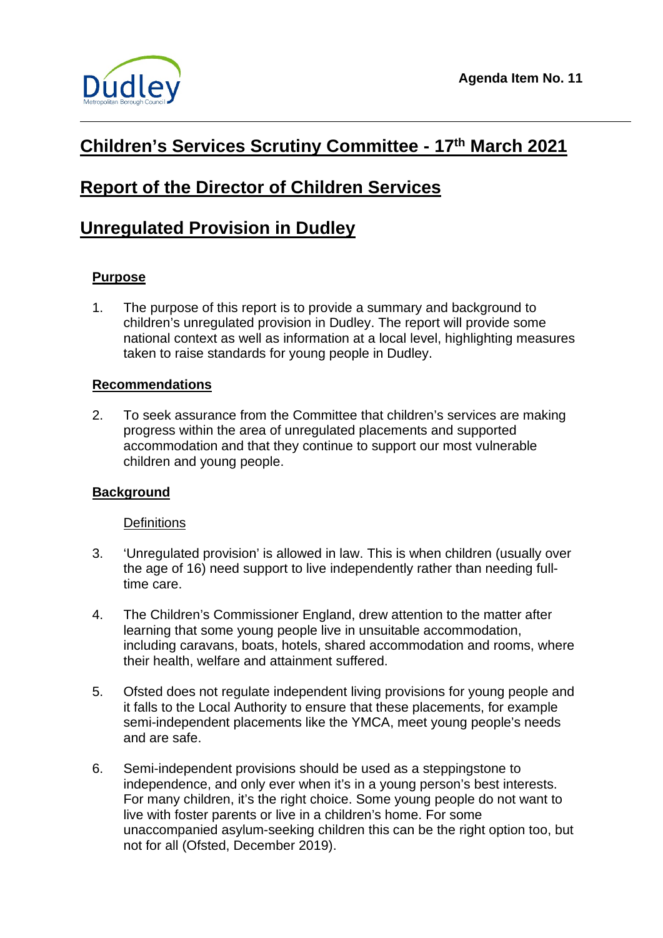

# **Children's Services Scrutiny Committee - 17th March 2021**

# **Report of the Director of Children Services**

# **Unregulated Provision in Dudley**

# **Purpose**

1. The purpose of this report is to provide a summary and background to children's unregulated provision in Dudley. The report will provide some national context as well as information at a local level, highlighting measures taken to raise standards for young people in Dudley.

# **Recommendations**

2. To seek assurance from the Committee that children's services are making progress within the area of unregulated placements and supported accommodation and that they continue to support our most vulnerable children and young people.

#### **Background**

#### **Definitions**

- 3. 'Unregulated provision' is allowed in law. This is when children (usually over the age of 16) need support to live independently rather than needing fulltime care.
- 4. The Children's Commissioner England, drew attention to the matter after learning that some young people live in unsuitable accommodation, including caravans, boats, hotels, shared accommodation and rooms, where their health, welfare and attainment suffered.
- 5. Ofsted does not regulate independent living provisions for young people and it falls to the Local Authority to ensure that these placements, for example semi-independent placements like the YMCA, meet young people's needs and are safe.
- 6. Semi-independent provisions should be used as a steppingstone to independence, and only ever when it's in a young person's best interests. For many children, it's the right choice. Some young people do not want to live with foster parents or live in a children's home. For some unaccompanied asylum-seeking children this can be the right option too, but not for all (Ofsted, December 2019).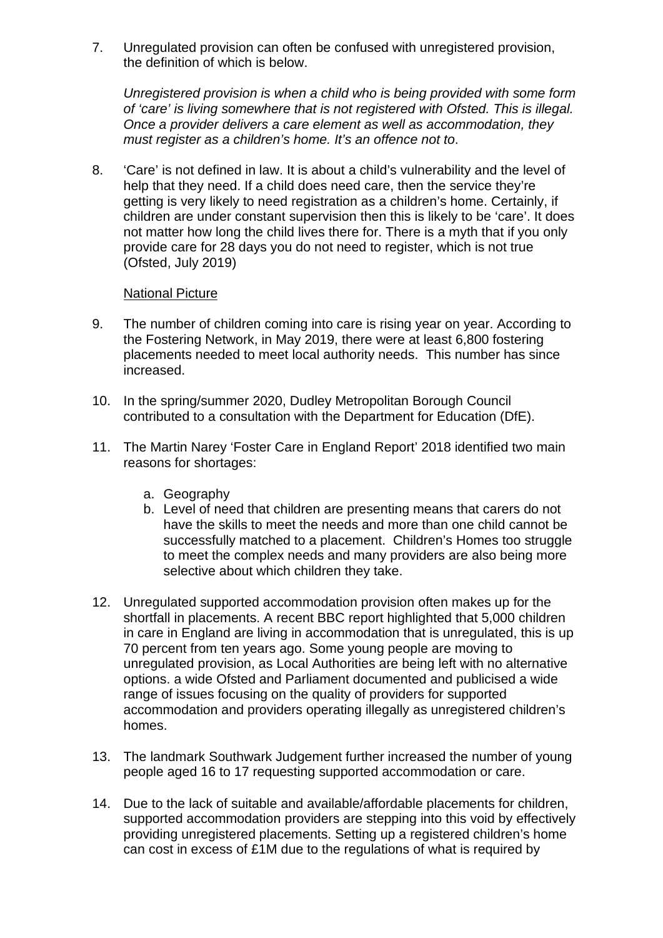7. Unregulated provision can often be confused with unregistered provision, the definition of which is below.

*Unregistered provision is when a child who is being provided with some form of 'care' is living somewhere that is not registered with Ofsted. This is illegal. Once a provider delivers a care element as well as accommodation, they must register as a children's home. It's an offence not to*.

8. 'Care' is not defined in law. It is about a child's vulnerability and the level of help that they need. If a child does need care, then the service they're getting is very likely to need registration as a children's home. Certainly, if children are under constant supervision then this is likely to be 'care'. It does not matter how long the child lives there for. There is a myth that if you only provide care for 28 days you do not need to register, which is not true (Ofsted, July 2019)

#### National Picture

- 9. The number of children coming into care is rising year on year. According to the Fostering Network, in May 2019, there were at least 6,800 fostering placements needed to meet local authority needs. This number has since increased.
- 10. In the spring/summer 2020, Dudley Metropolitan Borough Council contributed to a consultation with the Department for Education (DfE).
- 11. The Martin Narey 'Foster Care in England Report' 2018 identified two main reasons for shortages:
	- a. Geography
	- b. Level of need that children are presenting means that carers do not have the skills to meet the needs and more than one child cannot be successfully matched to a placement. Children's Homes too struggle to meet the complex needs and many providers are also being more selective about which children they take.
- 12. Unregulated supported accommodation provision often makes up for the shortfall in placements. A recent BBC report highlighted that 5,000 children in care in England are living in accommodation that is unregulated, this is up 70 percent from ten years ago. Some young people are moving to unregulated provision, as Local Authorities are being left with no alternative options. a wide Ofsted and Parliament documented and publicised a wide range of issues focusing on the quality of providers for supported accommodation and providers operating illegally as unregistered children's homes.
- 13. The landmark Southwark Judgement further increased the number of young people aged 16 to 17 requesting supported accommodation or care.
- 14. Due to the lack of suitable and available/affordable placements for children, supported accommodation providers are stepping into this void by effectively providing unregistered placements. Setting up a registered children's home can cost in excess of £1M due to the regulations of what is required by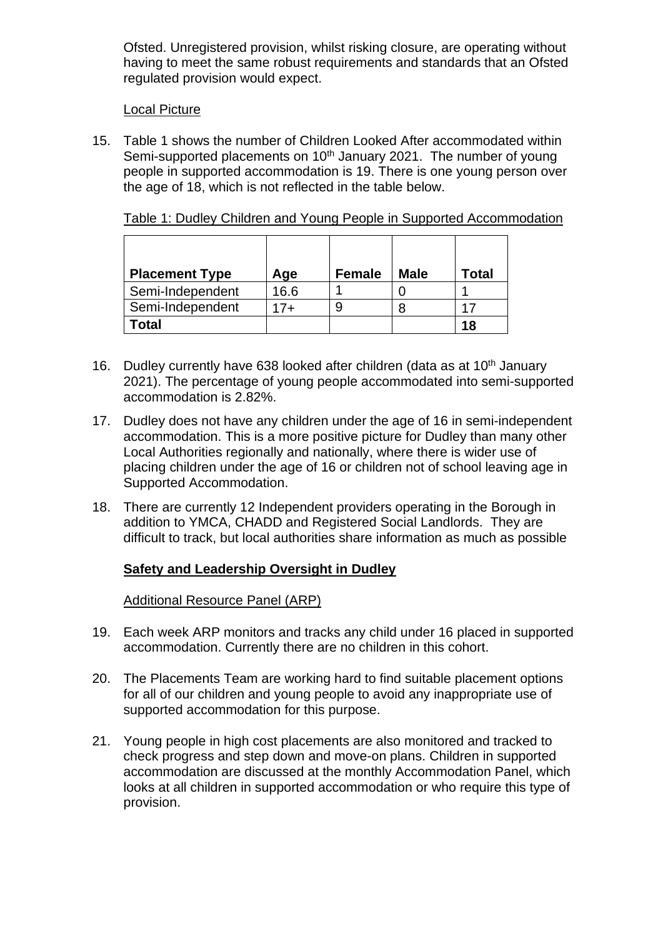Ofsted. Unregistered provision, whilst risking closure, are operating without having to meet the same robust requirements and standards that an Ofsted regulated provision would expect.

#### Local Picture

15. Table 1 shows the number of Children Looked After accommodated within Semi-supported placements on 10<sup>th</sup> January 2021. The number of young people in supported accommodation is 19. There is one young person over the age of 18, which is not reflected in the table below.

| <b>Placement Type</b> | Age   | <b>Female</b> | Male | Total |
|-----------------------|-------|---------------|------|-------|
| Semi-Independent      | 16.6  |               |      |       |
| Semi-Independent      | $17+$ |               |      | 17    |
| Total                 |       |               |      | 18    |

Table 1: Dudley Children and Young People in Supported Accommodation

- 16. Dudley currently have 638 looked after children (data as at  $10<sup>th</sup>$  January 2021). The percentage of young people accommodated into semi-supported accommodation is 2.82%.
- 17. Dudley does not have any children under the age of 16 in semi-independent accommodation. This is a more positive picture for Dudley than many other Local Authorities regionally and nationally, where there is wider use of placing children under the age of 16 or children not of school leaving age in Supported Accommodation.
- 18. There are currently 12 Independent providers operating in the Borough in addition to YMCA, CHADD and Registered Social Landlords. They are difficult to track, but local authorities share information as much as possible

# **Safety and Leadership Oversight in Dudley**

# Additional Resource Panel (ARP)

- 19. Each week ARP monitors and tracks any child under 16 placed in supported accommodation. Currently there are no children in this cohort.
- 20. The Placements Team are working hard to find suitable placement options for all of our children and young people to avoid any inappropriate use of supported accommodation for this purpose.
- 21. Young people in high cost placements are also monitored and tracked to check progress and step down and move-on plans. Children in supported accommodation are discussed at the monthly Accommodation Panel, which looks at all children in supported accommodation or who require this type of provision.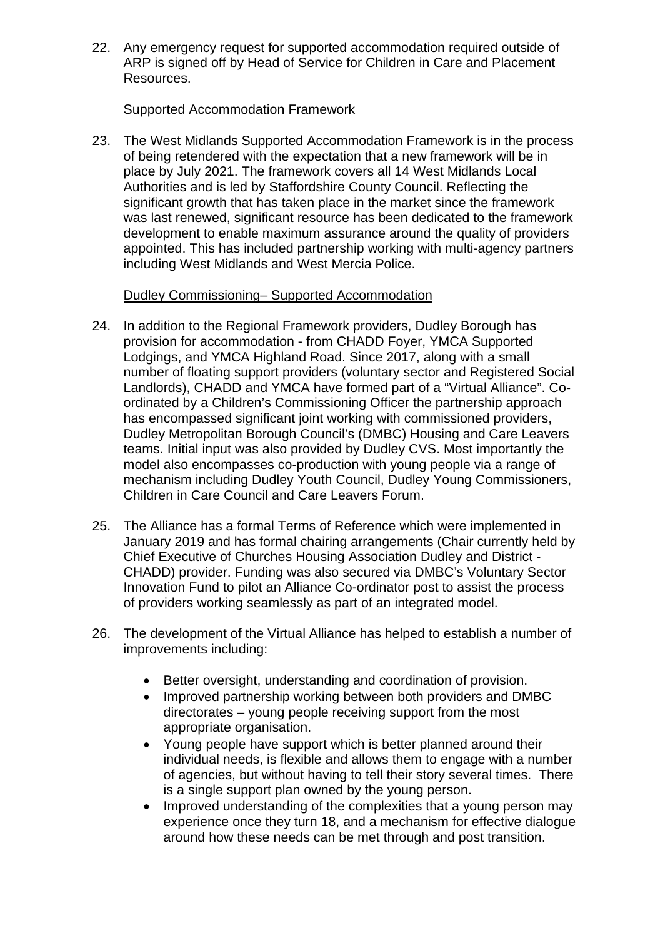22. Any emergency request for supported accommodation required outside of ARP is signed off by Head of Service for Children in Care and Placement Resources.

#### Supported Accommodation Framework

23. The West Midlands Supported Accommodation Framework is in the process of being retendered with the expectation that a new framework will be in place by July 2021. The framework covers all 14 West Midlands Local Authorities and is led by Staffordshire County Council. Reflecting the significant growth that has taken place in the market since the framework was last renewed, significant resource has been dedicated to the framework development to enable maximum assurance around the quality of providers appointed. This has included partnership working with multi-agency partners including West Midlands and West Mercia Police.

# Dudley Commissioning– Supported Accommodation

- 24. In addition to the Regional Framework providers, Dudley Borough has provision for accommodation - from CHADD Foyer, YMCA Supported Lodgings, and YMCA Highland Road. Since 2017, along with a small number of floating support providers (voluntary sector and Registered Social Landlords), CHADD and YMCA have formed part of a "Virtual Alliance". Coordinated by a Children's Commissioning Officer the partnership approach has encompassed significant joint working with commissioned providers, Dudley Metropolitan Borough Council's (DMBC) Housing and Care Leavers teams. Initial input was also provided by Dudley CVS. Most importantly the model also encompasses co-production with young people via a range of mechanism including Dudley Youth Council, Dudley Young Commissioners, Children in Care Council and Care Leavers Forum.
- 25. The Alliance has a formal Terms of Reference which were implemented in January 2019 and has formal chairing arrangements (Chair currently held by Chief Executive of Churches Housing Association Dudley and District - CHADD) provider. Funding was also secured via DMBC's Voluntary Sector Innovation Fund to pilot an Alliance Co-ordinator post to assist the process of providers working seamlessly as part of an integrated model.
- 26. The development of the Virtual Alliance has helped to establish a number of improvements including:
	- Better oversight, understanding and coordination of provision.
	- Improved partnership working between both providers and DMBC directorates – young people receiving support from the most appropriate organisation.
	- Young people have support which is better planned around their individual needs, is flexible and allows them to engage with a number of agencies, but without having to tell their story several times. There is a single support plan owned by the young person.
	- Improved understanding of the complexities that a young person may experience once they turn 18, and a mechanism for effective dialogue around how these needs can be met through and post transition.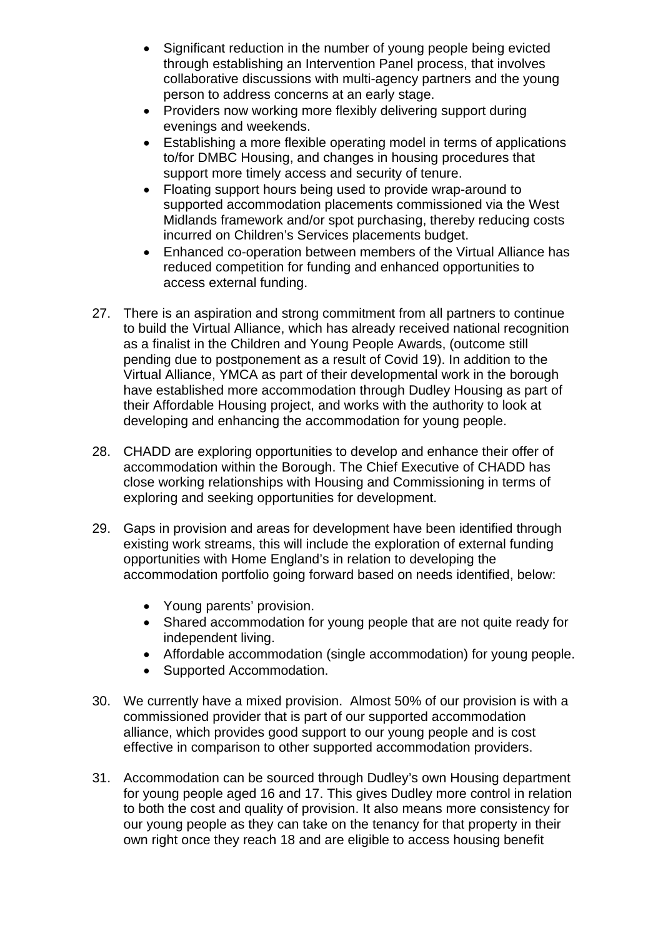- Significant reduction in the number of young people being evicted through establishing an Intervention Panel process, that involves collaborative discussions with multi-agency partners and the young person to address concerns at an early stage.
- Providers now working more flexibly delivering support during evenings and weekends.
- Establishing a more flexible operating model in terms of applications to/for DMBC Housing, and changes in housing procedures that support more timely access and security of tenure.
- Floating support hours being used to provide wrap-around to supported accommodation placements commissioned via the West Midlands framework and/or spot purchasing, thereby reducing costs incurred on Children's Services placements budget.
- Enhanced co-operation between members of the Virtual Alliance has reduced competition for funding and enhanced opportunities to access external funding.
- 27. There is an aspiration and strong commitment from all partners to continue to build the Virtual Alliance, which has already received national recognition as a finalist in the Children and Young People Awards, (outcome still pending due to postponement as a result of Covid 19). In addition to the Virtual Alliance, YMCA as part of their developmental work in the borough have established more accommodation through Dudley Housing as part of their Affordable Housing project, and works with the authority to look at developing and enhancing the accommodation for young people.
- 28. CHADD are exploring opportunities to develop and enhance their offer of accommodation within the Borough. The Chief Executive of CHADD has close working relationships with Housing and Commissioning in terms of exploring and seeking opportunities for development.
- 29. Gaps in provision and areas for development have been identified through existing work streams, this will include the exploration of external funding opportunities with Home England's in relation to developing the accommodation portfolio going forward based on needs identified, below:
	- Young parents' provision.
	- Shared accommodation for young people that are not quite ready for independent living.
	- Affordable accommodation (single accommodation) for young people.
	- Supported Accommodation.
- 30. We currently have a mixed provision. Almost 50% of our provision is with a commissioned provider that is part of our supported accommodation alliance, which provides good support to our young people and is cost effective in comparison to other supported accommodation providers.
- 31. Accommodation can be sourced through Dudley's own Housing department for young people aged 16 and 17. This gives Dudley more control in relation to both the cost and quality of provision. It also means more consistency for our young people as they can take on the tenancy for that property in their own right once they reach 18 and are eligible to access housing benefit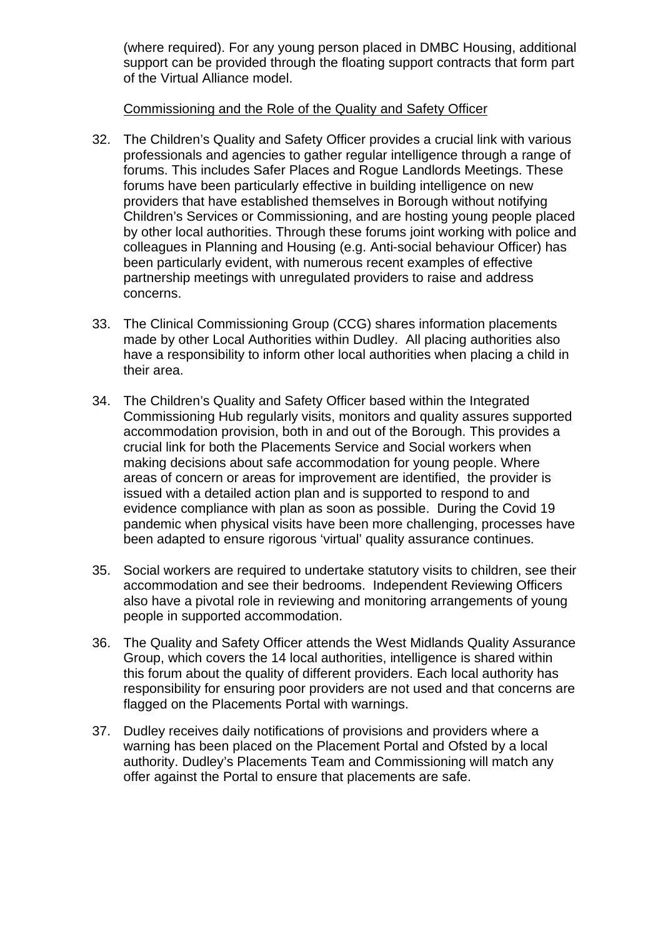(where required). For any young person placed in DMBC Housing, additional support can be provided through the floating support contracts that form part of the Virtual Alliance model.

#### Commissioning and the Role of the Quality and Safety Officer

- 32. The Children's Quality and Safety Officer provides a crucial link with various professionals and agencies to gather regular intelligence through a range of forums. This includes Safer Places and Rogue Landlords Meetings. These forums have been particularly effective in building intelligence on new providers that have established themselves in Borough without notifying Children's Services or Commissioning, and are hosting young people placed by other local authorities. Through these forums joint working with police and colleagues in Planning and Housing (e.g. Anti-social behaviour Officer) has been particularly evident, with numerous recent examples of effective partnership meetings with unregulated providers to raise and address concerns.
- 33. The Clinical Commissioning Group (CCG) shares information placements made by other Local Authorities within Dudley. All placing authorities also have a responsibility to inform other local authorities when placing a child in their area.
- 34. The Children's Quality and Safety Officer based within the Integrated Commissioning Hub regularly visits, monitors and quality assures supported accommodation provision, both in and out of the Borough. This provides a crucial link for both the Placements Service and Social workers when making decisions about safe accommodation for young people. Where areas of concern or areas for improvement are identified, the provider is issued with a detailed action plan and is supported to respond to and evidence compliance with plan as soon as possible. During the Covid 19 pandemic when physical visits have been more challenging, processes have been adapted to ensure rigorous 'virtual' quality assurance continues.
- 35. Social workers are required to undertake statutory visits to children, see their accommodation and see their bedrooms. Independent Reviewing Officers also have a pivotal role in reviewing and monitoring arrangements of young people in supported accommodation.
- 36. The Quality and Safety Officer attends the West Midlands Quality Assurance Group, which covers the 14 local authorities, intelligence is shared within this forum about the quality of different providers. Each local authority has responsibility for ensuring poor providers are not used and that concerns are flagged on the Placements Portal with warnings.
- 37. Dudley receives daily notifications of provisions and providers where a warning has been placed on the Placement Portal and Ofsted by a local authority. Dudley's Placements Team and Commissioning will match any offer against the Portal to ensure that placements are safe.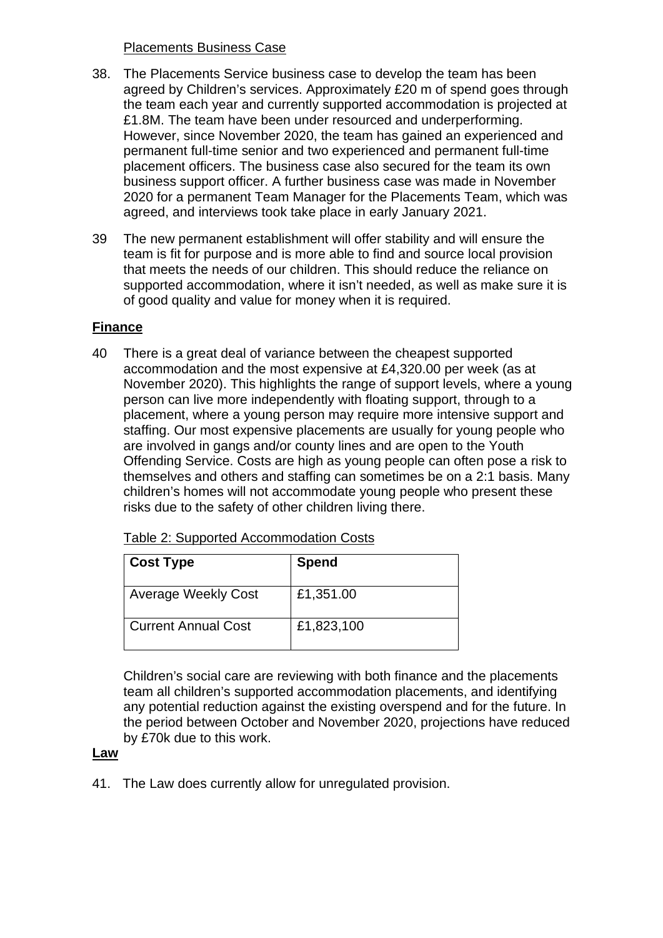#### Placements Business Case

- 38. The Placements Service business case to develop the team has been agreed by Children's services. Approximately £20 m of spend goes through the team each year and currently supported accommodation is projected at £1.8M. The team have been under resourced and underperforming. However, since November 2020, the team has gained an experienced and permanent full-time senior and two experienced and permanent full-time placement officers. The business case also secured for the team its own business support officer. A further business case was made in November 2020 for a permanent Team Manager for the Placements Team, which was agreed, and interviews took take place in early January 2021.
- 39 The new permanent establishment will offer stability and will ensure the team is fit for purpose and is more able to find and source local provision that meets the needs of our children. This should reduce the reliance on supported accommodation, where it isn't needed, as well as make sure it is of good quality and value for money when it is required.

# **Finance**

40 There is a great deal of variance between the cheapest supported accommodation and the most expensive at £4,320.00 per week (as at November 2020). This highlights the range of support levels, where a young person can live more independently with floating support, through to a placement, where a young person may require more intensive support and staffing. Our most expensive placements are usually for young people who are involved in gangs and/or county lines and are open to the Youth Offending Service. Costs are high as young people can often pose a risk to themselves and others and staffing can sometimes be on a 2:1 basis. Many children's homes will not accommodate young people who present these risks due to the safety of other children living there.

| <b>Cost Type</b>           | <b>Spend</b> |
|----------------------------|--------------|
| <b>Average Weekly Cost</b> | £1,351.00    |
| <b>Current Annual Cost</b> | £1,823,100   |

Table 2: Supported Accommodation Costs

Children's social care are reviewing with both finance and the placements team all children's supported accommodation placements, and identifying any potential reduction against the existing overspend and for the future. In the period between October and November 2020, projections have reduced by £70k due to this work.

#### **Law**

41. The Law does currently allow for unregulated provision.